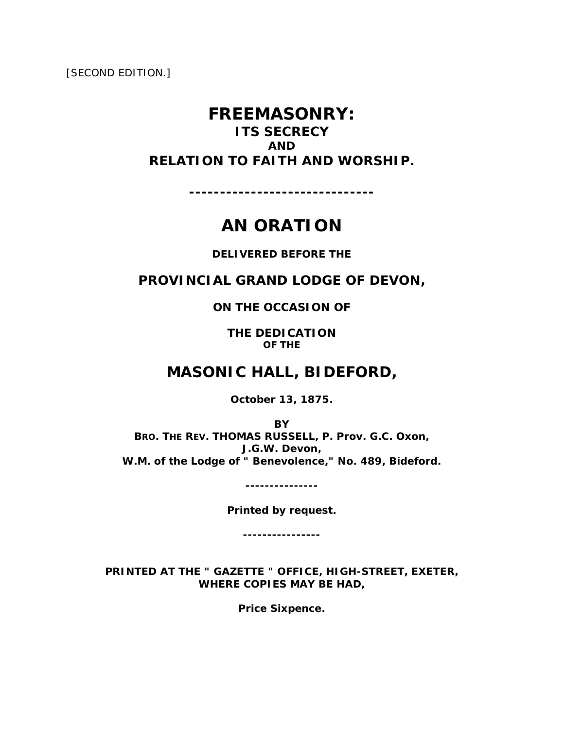[SECOND EDITION.]

## **FREEMASONRY: ITS SECRECY AND RELATION TO FAITH AND WORSHIP.**

**------------------------------** 

## **AN ORATION**

**DELIVERED BEFORE THE** 

**PROVINCIAL GRAND LODGE OF DEVON,** 

**ON THE OCCASION OF** 

**THE DEDICATION OF THE** 

## **MASONIC HALL, BIDEFORD,**

**October 13, 1875.** 

**BY BRO. THE REV. THOMAS RUSSELL, P. Prov. G.C. Oxon, J.G.W. Devon, W.M. of the Lodge of " Benevolence," No. 489, Bideford.** 

**---------------** 

*Printed by request.* 

**----------------** 

**PRINTED AT THE " GAZETTE " OFFICE, HIGH-STREET, EXETER, WHERE COPIES MAY BE HAD,** 

**Price Sixpence.**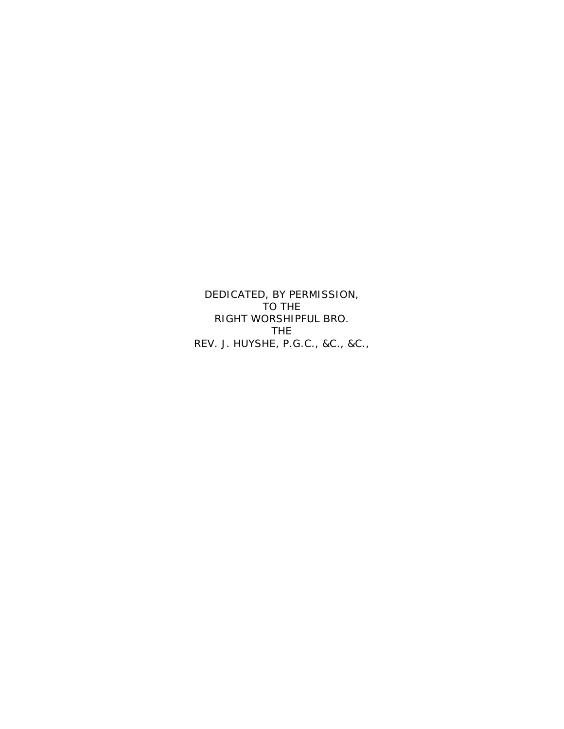DEDICATED, BY PERMISSION, TO THE RIGHT WORSHIPFUL BRO. THE REV. J. HUYSHE, P.G.C., &C., &C.,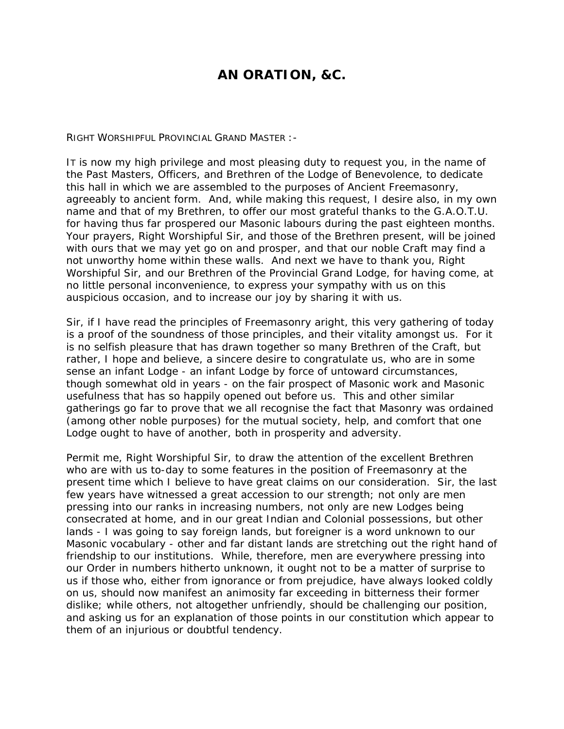## **AN ORATION, &C.**

RIGHT WORSHIPFUL PROVINCIAL GRAND MASTER :-

IT is now my high privilege and most pleasing duty to request you, in the name of the Past Masters, Officers, and Brethren of the Lodge of Benevolence, to dedicate this hall in which we are assembled to the purposes of Ancient Freemasonry, agreeably to ancient form. And, while making this request, I desire also, in my own name and that of my Brethren, to offer our most grateful thanks to the G.A.O.T.U. for having thus far prospered our Masonic labours during the past eighteen months. Your prayers, Right Worshipful Sir, and those of the Brethren present, will be joined with ours that we may yet go on and prosper, and that our noble Craft may find a not unworthy home within these walls. And next we have to thank you, Right Worshipful Sir, and our Brethren of the Provincial Grand Lodge, for having come, at no little personal inconvenience, to express your sympathy with us on this auspicious occasion, and to increase our joy by sharing it with us.

Sir, if I have read the principles of Freemasonry aright, this very gathering of today is a proof of the soundness of those principles, and their vitality amongst us. For it is no selfish pleasure that has drawn together so many Brethren of the Craft, but rather, I hope and believe, a sincere desire to congratulate us, who are in some sense an infant Lodge - an infant Lodge by force of untoward circumstances, though somewhat old in years - on the fair prospect of Masonic work and Masonic usefulness that has so happily opened out before us. This and other similar gatherings go far to prove that we all recognise the fact that Masonry was ordained (among other noble purposes) for the mutual society, help, and comfort that one Lodge ought to have of another, both in prosperity and adversity.

Permit me, Right Worshipful Sir, to draw the attention of the excellent Brethren who are with us to-day to some features in the position of Freemasonry at the present time which I believe to have great claims on our consideration. Sir, the last few years have witnessed a great accession to our strength; not only are men pressing into our ranks in increasing numbers, not only are new Lodges being consecrated at home, and in our great Indian and Colonial possessions, but other lands - I was going to say foreign lands, but foreigner is a word unknown to our Masonic vocabulary - other and far distant lands are stretching out the right hand of friendship to our institutions. While, therefore, men are everywhere pressing into our Order in numbers hitherto unknown, it ought not to be a matter of surprise to us if those who, either from ignorance or from prejudice, have always looked coldly on us, should now manifest an animosity far exceeding in bitterness their former dislike; while others, not altogether unfriendly, should be challenging our position, and asking us for an explanation of those points in our constitution which appear to them of an injurious or doubtful tendency.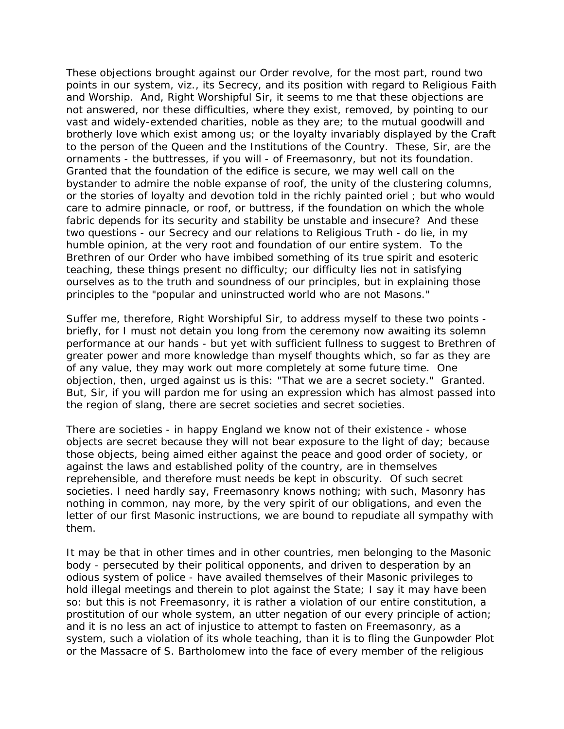These objections brought against our Order revolve, for the most part, round two points in our system, viz., its Secrecy, and its position with regard to Religious Faith and Worship. And, Right Worshipful Sir, it seems to me that these objections are not answered, nor these difficulties, where they exist, removed, by pointing to our vast and widely-extended charities, noble as they are; to the mutual goodwill and brotherly love which exist among us; or the loyalty invariably displayed by the Craft to the person of the Queen and the Institutions of the Country. These, Sir, are the ornaments - the buttresses, if you will - of Freemasonry, but not its foundation. Granted that the foundation of the edifice is secure, we may well call on the bystander to admire the noble expanse of roof, the unity of the clustering columns, or the stories of loyalty and devotion told in the richly painted oriel ; but who would care to admire pinnacle, or roof, or buttress, if the foundation on which the whole fabric depends for its security and stability be unstable and insecure? And these two questions - our Secrecy and our relations to Religious Truth - do lie, in my humble opinion, at the very root and foundation of our entire system. To the Brethren of our Order who have imbibed something of its true spirit and esoteric teaching, these things present no difficulty; our difficulty lies not in satisfying ourselves as to the truth and soundness of our principles, but in explaining those principles to the "popular and uninstructed world who are not Masons."

Suffer me, therefore, Right Worshipful Sir, to address myself to these two points briefly, for I must not detain you long from the ceremony now awaiting its solemn performance at our hands - but yet with sufficient fullness to suggest to Brethren of greater power and more knowledge than myself thoughts which, so far as they are of any value, they may work out more completely at some future time. One objection, then, urged against us is this: "That we are a secret society." Granted. But, Sir, if you will pardon me for using an expression which has almost passed into the region of slang, there are secret societies and secret societies.

There are societies - in happy England we know not of their existence - whose *objects* are secret because they will not bear exposure to the light of day; because those objects, being aimed either against the peace and good order of society, or against the laws and established polity of the country, are in themselves reprehensible, and therefore must needs be kept in obscurity. Of such secret societies. I need hardly say, Freemasonry knows nothing; with such, Masonry has nothing in common, nay more, by the very spirit of our obligations, and even the letter of our first Masonic instructions, we are bound to repudiate all sympathy with them.

It may be that in other times and in other countries, men belonging to the Masonic body - persecuted by their political opponents, and driven to desperation by an odious system of police - have availed themselves of their Masonic privileges to hold illegal meetings and therein to plot against the State; I say it may have been so: but this is not Freemasonry, it is rather a violation of our entire constitution, a prostitution of our whole system, an utter negation of our every principle of action; and it is no less an act of injustice to attempt to fasten on Freemasonry, as a system, such a violation of its whole teaching, than it is to fling the Gunpowder Plot or the Massacre of S. Bartholomew into the face of every member of the religious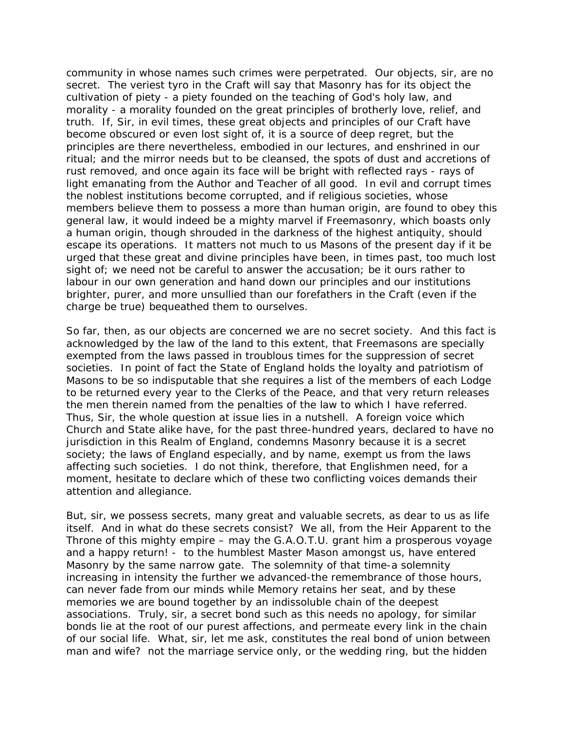community in whose names such crimes were perpetrated. *Our* objects, sir, are no secret. The veriest tyro in the Craft will say that Masonry has for its object the cultivation of piety - a piety founded on the teaching of God's holy law, and morality - a morality founded on the great principles of brotherly love, relief, and truth. If, Sir, in evil times, these great objects and principles of our Craft have become obscured or even lost sight of, it is a source of deep regret, but the principles are there nevertheless, embodied in our lectures, and enshrined in our ritual; and the mirror needs but to be cleansed, the spots of dust and accretions of rust removed, and once again its face will be bright with reflected rays - rays of light emanating from the Author and Teacher of all good. In evil and corrupt times the noblest institutions become corrupted, and if religious societies, whose members believe them to possess a more than human origin, are found to obey this general law, it would indeed be a mighty marvel if Freemasonry, which boasts only a human origin, though shrouded in the darkness of the highest antiquity, should escape its operations. It matters not much to us Masons of the present day if it be urged that these great and divine principles have been, in times past, too much lost sight of; we need not be careful to answer the accusation; be it ours rather to labour in our own generation and hand down our principles and our institutions brighter, purer, and more unsullied than our forefathers in the Craft (even if the charge be true) bequeathed them to ourselves.

So far, then, as our objects are concerned we are no secret society. And this fact is acknowledged by the law of the land to this extent, that Freemasons are specially exempted from the laws passed in troublous times for the suppression of secret societies. In point of fact the State of England holds the loyalty and patriotism of Masons to be so indisputable that she requires a list of the members of each Lodge to be returned every year to the Clerks of the Peace, and that very return releases the men therein named from the penalties of the law to which I have referred. Thus, Sir, the whole question at issue lies in a nutshell. A foreign voice which Church and State alike have, for the past three-hundred years, declared to have no jurisdiction in this Realm of England, condemns Masonry because it is a secret society; the laws of England especially, and by name, exempt us from the laws affecting such societies. I do not think, therefore, that Englishmen need, for a moment, hesitate to declare which of these two conflicting voices demands their attention and allegiance.

But, sir, we possess secrets, many great and valuable secrets, as dear to us as life itself. And in what do these secrets consist? We all, from the Heir Apparent to the Throne of this mighty empire – may the G.A.O.T.U. grant him a prosperous voyage and a happy return! - to the humblest Master Mason amongst us, have entered Masonry by the same narrow gate. The solemnity of that time-a solemnity increasing in intensity the further we advanced-the remembrance of those hours, can never fade from our minds while Memory retains her seat, and by these memories we are bound together by an indissoluble chain of the deepest associations. Truly, sir, a secret bond such as this needs no apology, for similar bonds lie at the root of our purest affections, and permeate every link in the chain of our social life. What, sir, let me ask, constitutes the real bond of union between man and wife? not the marriage service only, or the wedding ring, but the hidden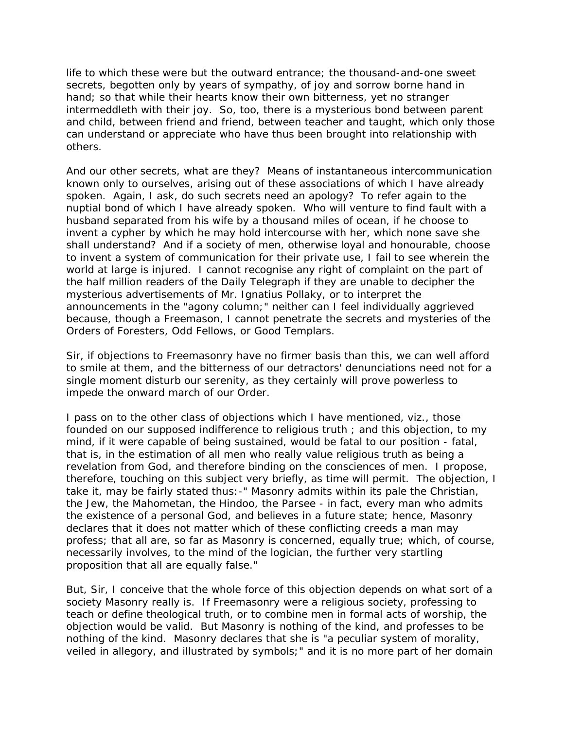life to which these were but the outward entrance; the thousand-and-one sweet secrets, begotten only by years of sympathy, of joy and sorrow borne hand in hand; so that while their hearts know their own bitterness, yet no stranger intermeddleth with their joy. So, too, there is a mysterious bond between parent and child, between friend and friend, between teacher and taught, which only those can understand or appreciate who have thus been brought into relationship with others.

And our other secrets, what are they? Means of instantaneous intercommunication known only to ourselves, arising out of these associations of which I have already spoken. Again, I ask, do such secrets need an apology? To refer again to the nuptial bond of which I have already spoken. Who will venture to find fault with a husband separated from his wife by a thousand miles of ocean, if he choose to invent a cypher by which he may hold intercourse with her, which none save she shall understand? And if a society of men, otherwise loyal and honourable, choose to invent a system of communication for their private use, I fail to see wherein the world at large is injured. I cannot recognise any right of complaint on the part of the half million readers of the *Daily Telegraph* if they are unable to decipher the mysterious advertisements of Mr. Ignatius Pollaky, or to interpret the announcements in the "agony column;" neither can I feel individually aggrieved because, though a Freemason, I cannot penetrate the secrets and mysteries of the Orders of Foresters, Odd Fellows, or Good Templars.

Sir, if objections to Freemasonry have no firmer basis than this, we can well afford to smile at them, and the bitterness of our detractors' denunciations need not for a single moment disturb our serenity, as they certainly will prove powerless to impede the onward march of our Order.

I pass on to the other class of objections which I have mentioned, viz., those founded on our supposed indifference to religious truth ; and this objection, to my mind, if it were capable of being sustained, would be fatal to our position - fatal, that is, in the estimation of all men who really value religious truth as being a revelation from God, and therefore binding on the consciences of men. I propose, therefore, touching on this subject very briefly, as time will permit. The objection, I take it, may be fairly stated thus:-" Masonry admits within its pale the Christian, the Jew, the Mahometan, the Hindoo, the Parsee - in fact, every man who admits the existence of a personal God, and believes in a future state; hence, Masonry declares that it does not matter which of these conflicting creeds a man may profess; that all are, so far as Masonry is concerned, equally true; which, of course, necessarily involves, to the mind of the logician, the further very startling proposition that all are equally false."

But, Sir, I conceive that the whole force of this objection depends on what sort of a society Masonry really is. If Freemasonry were a religious society, professing to teach or define theological truth, or to combine men in formal acts of worship, the objection would be valid. But Masonry is nothing of the kind, and professes to be nothing of the kind. Masonry declares that she is "a peculiar system of morality, veiled in allegory, and illustrated by symbols;" and it is no more part of her domain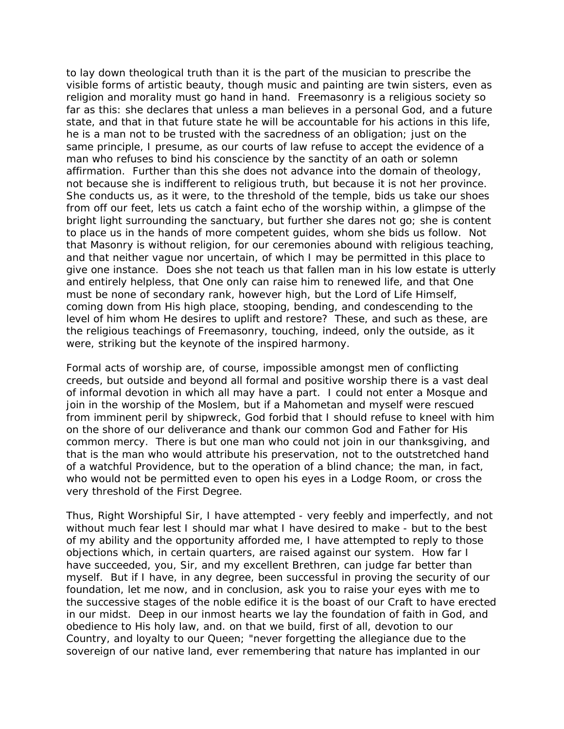to lay down theological truth than it is the part of the musician to prescribe the visible forms of artistic beauty, though music and painting are twin sisters, even as religion and morality must go hand in hand. Freemasonry is a religious society so far as this: she declares that unless a man believes in a personal God, and a future state, and that in that future state he will be accountable for his actions in this life, he is a man not to be trusted with the sacredness of an obligation; just on the same principle, I presume, as our courts of law refuse to accept the evidence of a man who refuses to bind his conscience by the sanctity of an oath or solemn affirmation. Further than this she does not advance into the domain of theology, not because she is indifferent to religious truth, but because it is not her province. She conducts us, as it were, to the threshold of the temple, bids us take our shoes from off our feet, lets us catch a faint echo of the worship within, a glimpse of the bright light surrounding the sanctuary, but further she dares not go; she is content to place us in the hands of more competent guides, whom she bids us follow. Not that Masonry is without religion, for our ceremonies abound with religious teaching, and that neither vague nor uncertain, of which I may be permitted in this place to give one instance. Does she not teach us that fallen man in his low estate is utterly and entirely helpless, that One only can raise him to renewed life, and that One must be none of secondary rank, however high, but the Lord of Life Himself, coming down from His high place, stooping, bending, and condescending to the level of him whom He desires to uplift and restore? These, and such as these, are the religious teachings of Freemasonry, touching, indeed, only the outside, as it were, striking but the keynote of the inspired harmony.

Formal acts of worship are, of course, impossible amongst men of conflicting creeds, but outside and beyond all formal and positive worship there is a vast deal of informal devotion in which all may have a part. I could not enter a Mosque and join in the worship of the Moslem, but if a Mahometan and myself were rescued from imminent peril by shipwreck, God forbid that I should refuse to kneel with him on the shore of our deliverance and thank our common God and Father for His common mercy. There is but one man who could not join in our thanksgiving, and that is the man who would attribute his preservation, not to the outstretched hand of a watchful Providence, but to the operation of a blind chance; the man, in fact, who would not be permitted even to open his eyes in a Lodge Room, or cross the very threshold of the First Degree.

Thus, Right Worshipful Sir, I have attempted - very feebly and imperfectly, and not without much fear lest I should mar what I have desired to make - but to the best of my ability and the opportunity afforded me, I have attempted to reply to those objections which, in certain quarters, are raised against our system. How far I have succeeded, you, Sir, and my excellent Brethren, can judge far better than myself. But if I have, in any degree, been successful in proving the security of our foundation, let me now, and in conclusion, ask you to raise your eyes with me to the successive stages of the noble edifice it is the boast of our Craft to have erected in our midst. Deep in our inmost hearts we lay the foundation of faith in God, and obedience to His holy law, and. on that we build, first of all, devotion to our Country, and loyalty to our Queen; "never forgetting the allegiance due to the sovereign of our native land, ever remembering that nature has implanted in our